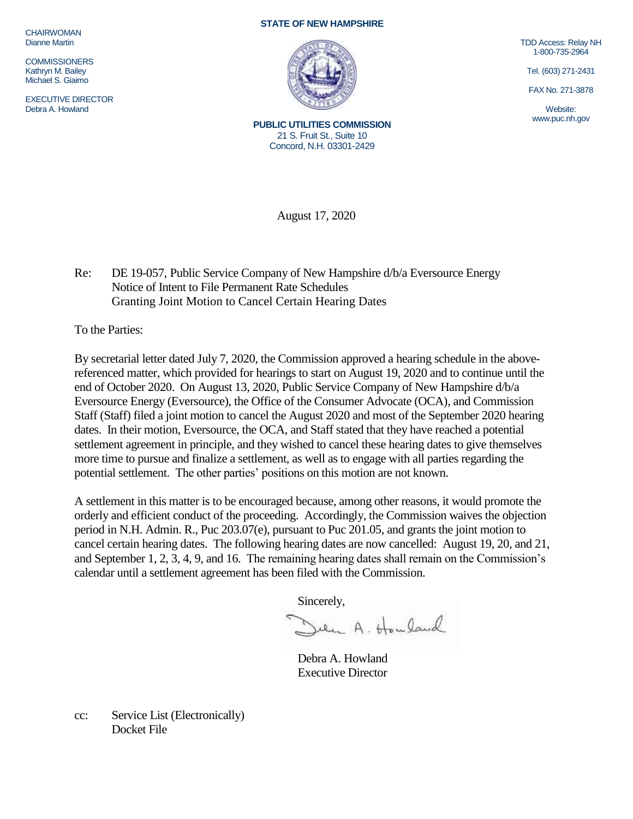**CHAIRWOMAN** Dianne Martin

**COMMISSIONERS** Kathryn M. Bailey Michael S. Giaimo

EXECUTIVE DIRECTOR Debra A. Howland

## **STATE OF NEW HAMPSHIRE**



**PUBLIC UTILITIES COMMISSION** 21 S. Fruit St., Suite 10 Concord, N.H. 03301-2429

TDD Access: Relay NH 1-800-735-2964

Tel. (603) 271-2431

FAX No. 271-3878

Website: www.puc.nh.gov

August 17, 2020

Re: DE 19-057, Public Service Company of New Hampshire d/b/a Eversource Energy Notice of Intent to File Permanent Rate Schedules Granting Joint Motion to Cancel Certain Hearing Dates

To the Parties:

By secretarial letter dated July 7, 2020, the Commission approved a hearing schedule in the abovereferenced matter, which provided for hearings to start on August 19, 2020 and to continue until the end of October 2020. On August 13, 2020, Public Service Company of New Hampshire d/b/a Eversource Energy (Eversource), the Office of the Consumer Advocate (OCA), and Commission Staff (Staff) filed a joint motion to cancel the August 2020 and most of the September 2020 hearing dates. In their motion, Eversource, the OCA, and Staff stated that they have reached a potential settlement agreement in principle, and they wished to cancel these hearing dates to give themselves more time to pursue and finalize a settlement, as well as to engage with all parties regarding the potential settlement. The other parties' positions on this motion are not known.

A settlement in this matter is to be encouraged because, among other reasons, it would promote the orderly and efficient conduct of the proceeding. Accordingly, the Commission waives the objection period in N.H. Admin. R., Puc 203.07(e), pursuant to Puc 201.05, and grants the joint motion to cancel certain hearing dates. The following hearing dates are now cancelled: August 19, 20, and 21, and September 1, 2, 3, 4, 9, and 16. The remaining hearing dates shall remain on the Commission's calendar until a settlement agreement has been filed with the Commission.

Sincerely,<br>Duen A. Houland

Debra A. Howland Executive Director

cc: Service List (Electronically) Docket File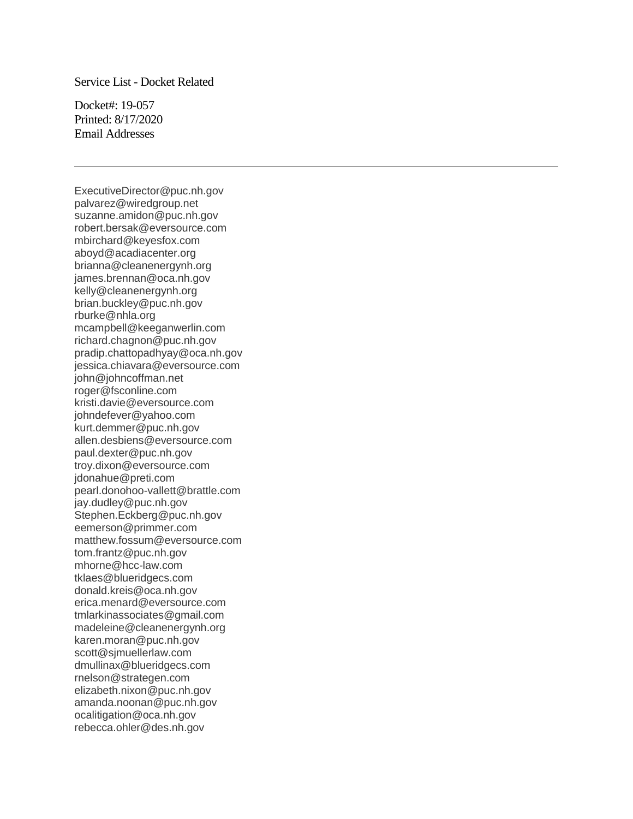## Service List - Docket Related

Docket#: 19-057 Printed: 8/17/2020 Email Addresses

ExecutiveDirector@puc.nh.gov palvarez@wiredgroup.net suzanne.amidon@puc.nh.gov robert.bersak@eversource.com mbirchard@keyesfox.com aboyd@acadiacenter.org brianna@cleanenergynh.org james.brennan@oca.nh.gov kelly@cleanenergynh.org brian.buckley@puc.nh.gov rburke@nhla.org mcampbell@keeganwerlin.com richard.chagnon@puc.nh.gov pradip.chattopadhyay@oca.nh.gov jessica.chiavara@eversource.com john@johncoffman.net roger@fsconline.com kristi.davie@eversource.com johndefever@yahoo.com kurt.demmer@puc.nh.gov allen.desbiens@eversource.com paul.dexter@puc.nh.gov troy.dixon@eversource.com jdonahue@preti.com pearl.donohoo-vallett@brattle.com jay.dudley@puc.nh.gov Stephen.Eckberg@puc.nh.gov eemerson@primmer.com matthew.fossum@eversource.com tom.frantz@puc.nh.gov mhorne@hcc-law.com tklaes@blueridgecs.com donald.kreis@oca.nh.gov erica.menard@eversource.com tmlarkinassociates@gmail.com madeleine@cleanenergynh.org karen.moran@puc.nh.gov scott@sjmuellerlaw.com dmullinax@blueridgecs.com rnelson@strategen.com elizabeth.nixon@puc.nh.gov amanda.noonan@puc.nh.gov ocalitigation@oca.nh.gov rebecca.ohler@des.nh.gov